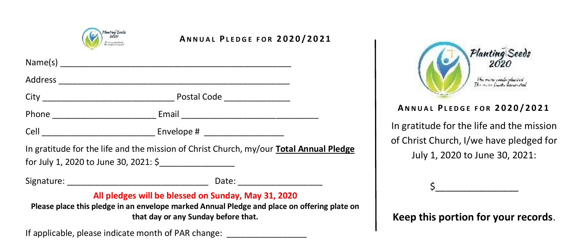

## **A N N U A L P L E D G E F O R 2 0 2 0 / 2 0 2 1**

| for July 1, 2020 to June 30, 2021: \$ | In gratitude for the life and the mission of Christ Church, my/our Total Annual Pledge |
|---------------------------------------|----------------------------------------------------------------------------------------|
|                                       |                                                                                        |
|                                       | All pledges will be blessed on Sunday, May 31, 2020                                    |

**Please place this pledge in an envelope marked Annual Pledge and place on offering plate on that day or any Sunday before that.**

If applicable, please indicate month of PAR change:



## **A N N U A L P L E D G E F O R 2 0 2 0 / 2 0 2 1**

In gratitude for the life and the mission of Christ Church, I/we have pledged for July 1, 2020 to June 30, 2021:

\$\_\_\_\_\_\_\_\_\_\_\_\_\_\_\_\_

**Keep this portion for your records**.